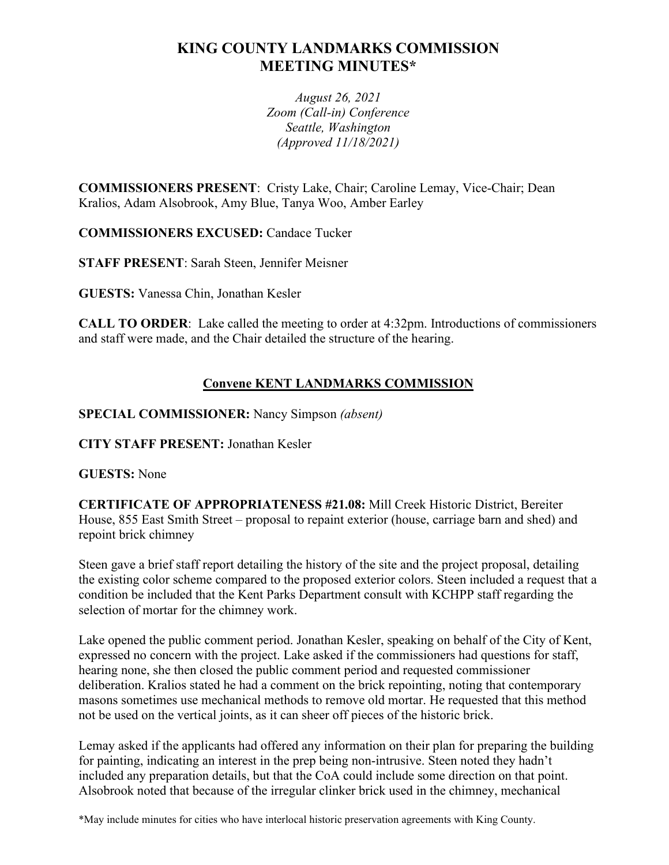# **KING COUNTY LANDMARKS COMMISSION MEETING MINUTES\***

*August 26, 2021 Zoom (Call-in) Conference Seattle, Washington (Approved 11/18/2021)*

**COMMISSIONERS PRESENT**: Cristy Lake, Chair; Caroline Lemay, Vice-Chair; Dean Kralios, Adam Alsobrook, Amy Blue, Tanya Woo, Amber Earley

**COMMISSIONERS EXCUSED:** Candace Tucker

**STAFF PRESENT**: Sarah Steen, Jennifer Meisner

**GUESTS:** Vanessa Chin, Jonathan Kesler

**CALL TO ORDER**: Lake called the meeting to order at 4:32pm. Introductions of commissioners and staff were made, and the Chair detailed the structure of the hearing.

# **Convene KENT LANDMARKS COMMISSION**

**SPECIAL COMMISSIONER:** Nancy Simpson *(absent)*

**CITY STAFF PRESENT:** Jonathan Kesler

**GUESTS:** None

**CERTIFICATE OF APPROPRIATENESS #21.08:** Mill Creek Historic District, Bereiter House, 855 East Smith Street – proposal to repaint exterior (house, carriage barn and shed) and repoint brick chimney

Steen gave a brief staff report detailing the history of the site and the project proposal, detailing the existing color scheme compared to the proposed exterior colors. Steen included a request that a condition be included that the Kent Parks Department consult with KCHPP staff regarding the selection of mortar for the chimney work.

Lake opened the public comment period. Jonathan Kesler, speaking on behalf of the City of Kent, expressed no concern with the project. Lake asked if the commissioners had questions for staff, hearing none, she then closed the public comment period and requested commissioner deliberation. Kralios stated he had a comment on the brick repointing, noting that contemporary masons sometimes use mechanical methods to remove old mortar. He requested that this method not be used on the vertical joints, as it can sheer off pieces of the historic brick.

Lemay asked if the applicants had offered any information on their plan for preparing the building for painting, indicating an interest in the prep being non-intrusive. Steen noted they hadn't included any preparation details, but that the CoA could include some direction on that point. Alsobrook noted that because of the irregular clinker brick used in the chimney, mechanical

\*May include minutes for cities who have interlocal historic preservation agreements with King County.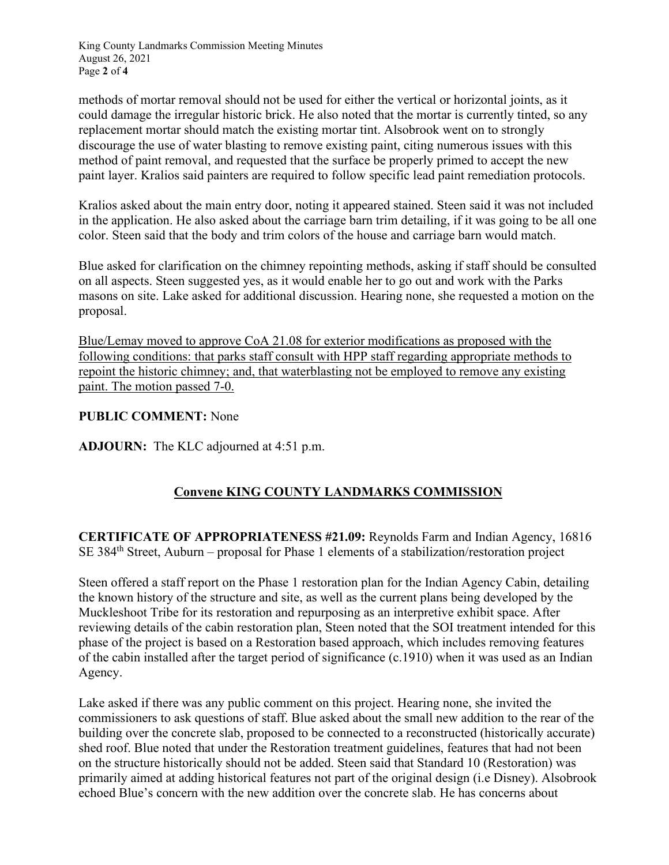King County Landmarks Commission Meeting Minutes August 26, 2021 Page **2** of **4**

methods of mortar removal should not be used for either the vertical or horizontal joints, as it could damage the irregular historic brick. He also noted that the mortar is currently tinted, so any replacement mortar should match the existing mortar tint. Alsobrook went on to strongly discourage the use of water blasting to remove existing paint, citing numerous issues with this method of paint removal, and requested that the surface be properly primed to accept the new paint layer. Kralios said painters are required to follow specific lead paint remediation protocols.

Kralios asked about the main entry door, noting it appeared stained. Steen said it was not included in the application. He also asked about the carriage barn trim detailing, if it was going to be all one color. Steen said that the body and trim colors of the house and carriage barn would match.

Blue asked for clarification on the chimney repointing methods, asking if staff should be consulted on all aspects. Steen suggested yes, as it would enable her to go out and work with the Parks masons on site. Lake asked for additional discussion. Hearing none, she requested a motion on the proposal.

Blue/Lemay moved to approve CoA 21.08 for exterior modifications as proposed with the following conditions: that parks staff consult with HPP staff regarding appropriate methods to repoint the historic chimney; and, that waterblasting not be employed to remove any existing paint. The motion passed 7-0.

#### **PUBLIC COMMENT:** None

**ADJOURN:** The KLC adjourned at 4:51 p.m.

## **Convene KING COUNTY LANDMARKS COMMISSION**

**CERTIFICATE OF APPROPRIATENESS #21.09:** Reynolds Farm and Indian Agency, 16816 SE 384th Street, Auburn – proposal for Phase 1 elements of a stabilization/restoration project

Steen offered a staff report on the Phase 1 restoration plan for the Indian Agency Cabin, detailing the known history of the structure and site, as well as the current plans being developed by the Muckleshoot Tribe for its restoration and repurposing as an interpretive exhibit space. After reviewing details of the cabin restoration plan, Steen noted that the SOI treatment intended for this phase of the project is based on a Restoration based approach, which includes removing features of the cabin installed after the target period of significance (c.1910) when it was used as an Indian Agency.

Lake asked if there was any public comment on this project. Hearing none, she invited the commissioners to ask questions of staff. Blue asked about the small new addition to the rear of the building over the concrete slab, proposed to be connected to a reconstructed (historically accurate) shed roof. Blue noted that under the Restoration treatment guidelines, features that had not been on the structure historically should not be added. Steen said that Standard 10 (Restoration) was primarily aimed at adding historical features not part of the original design (i.e Disney). Alsobrook echoed Blue's concern with the new addition over the concrete slab. He has concerns about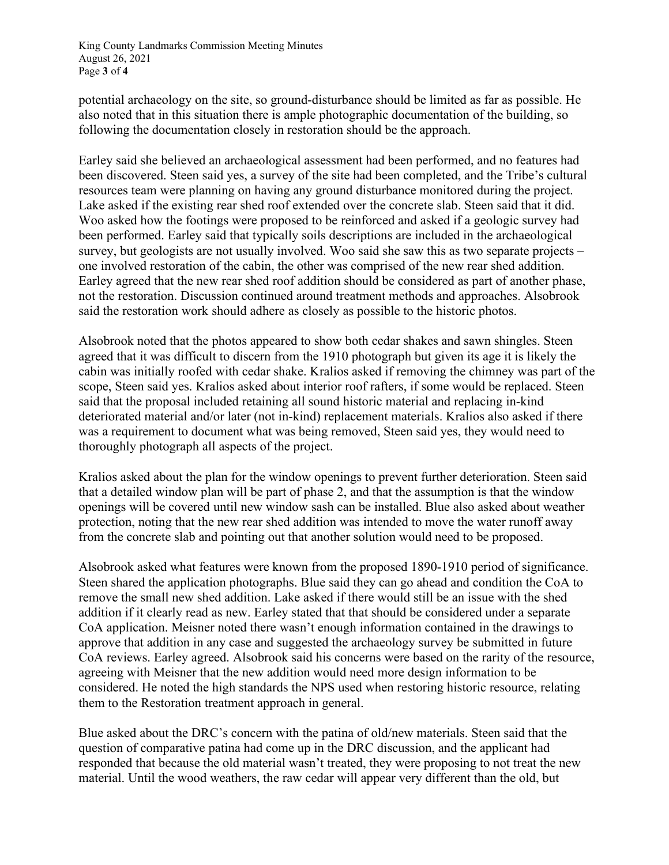King County Landmarks Commission Meeting Minutes August 26, 2021 Page **3** of **4**

potential archaeology on the site, so ground-disturbance should be limited as far as possible. He also noted that in this situation there is ample photographic documentation of the building, so following the documentation closely in restoration should be the approach.

Earley said she believed an archaeological assessment had been performed, and no features had been discovered. Steen said yes, a survey of the site had been completed, and the Tribe's cultural resources team were planning on having any ground disturbance monitored during the project. Lake asked if the existing rear shed roof extended over the concrete slab. Steen said that it did. Woo asked how the footings were proposed to be reinforced and asked if a geologic survey had been performed. Earley said that typically soils descriptions are included in the archaeological survey, but geologists are not usually involved. Woo said she saw this as two separate projects – one involved restoration of the cabin, the other was comprised of the new rear shed addition. Earley agreed that the new rear shed roof addition should be considered as part of another phase, not the restoration. Discussion continued around treatment methods and approaches. Alsobrook said the restoration work should adhere as closely as possible to the historic photos.

Alsobrook noted that the photos appeared to show both cedar shakes and sawn shingles. Steen agreed that it was difficult to discern from the 1910 photograph but given its age it is likely the cabin was initially roofed with cedar shake. Kralios asked if removing the chimney was part of the scope, Steen said yes. Kralios asked about interior roof rafters, if some would be replaced. Steen said that the proposal included retaining all sound historic material and replacing in-kind deteriorated material and/or later (not in-kind) replacement materials. Kralios also asked if there was a requirement to document what was being removed, Steen said yes, they would need to thoroughly photograph all aspects of the project.

Kralios asked about the plan for the window openings to prevent further deterioration. Steen said that a detailed window plan will be part of phase 2, and that the assumption is that the window openings will be covered until new window sash can be installed. Blue also asked about weather protection, noting that the new rear shed addition was intended to move the water runoff away from the concrete slab and pointing out that another solution would need to be proposed.

Alsobrook asked what features were known from the proposed 1890-1910 period of significance. Steen shared the application photographs. Blue said they can go ahead and condition the CoA to remove the small new shed addition. Lake asked if there would still be an issue with the shed addition if it clearly read as new. Earley stated that that should be considered under a separate CoA application. Meisner noted there wasn't enough information contained in the drawings to approve that addition in any case and suggested the archaeology survey be submitted in future CoA reviews. Earley agreed. Alsobrook said his concerns were based on the rarity of the resource, agreeing with Meisner that the new addition would need more design information to be considered. He noted the high standards the NPS used when restoring historic resource, relating them to the Restoration treatment approach in general.

Blue asked about the DRC's concern with the patina of old/new materials. Steen said that the question of comparative patina had come up in the DRC discussion, and the applicant had responded that because the old material wasn't treated, they were proposing to not treat the new material. Until the wood weathers, the raw cedar will appear very different than the old, but